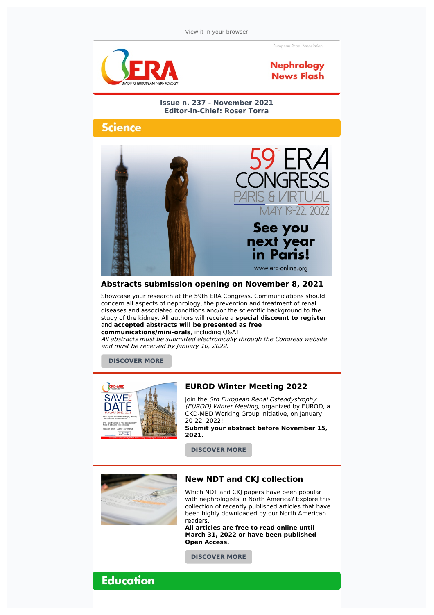European Renal Association





**Issue n. 237 - November 2021 Editor-in-Chief: Roser Torra**

## Science



#### **Abstracts submission opening on November 8, 2021**

Showcase your research at the 59th ERA Congress. Communications should concern all aspects of nephrology, the prevention and treatment of renal diseases and associated conditions and/or the scientific background to the study of the kidney. All authors will receive a **special discount to register** and **accepted abstracts will be presented as free communications/mini-orals**, including Q&A!

All abstracts must be submitted electronically through the Congress website and must be received by January 10, 2022.

**[DISCOVER](https://www.era-online.org/en/paris2022/abstracts/) MORE**



### **EUROD Winter Meeting 2022**

Join the 5th European Renal Osteodystrophy (EUROD) Winter Meeting, organized by EUROD, a CKD-MBD Working Group initiative, on January 20-22, 2022!

**Submit your abstract before November 15, 2021.**

**[DISCOVER](https://www.era-online.org/en/congress-meetings/5th-winter-eurod-european-renal-osteodystrophy-meeting/#toggle-id-6) MORE**



#### **New NDT and CKJ collection**

Which NDT and CKJ papers have been popular with nephrologists in North America? Explore this collection of recently published articles that have been highly downloaded by our North American readers.

**All articles are free to read online until March 31, 2022 or have been published Open Access.**

**[DISCOVER](https://academic.oup.com/era-edta/pages/us-collection) MORE**

**Education**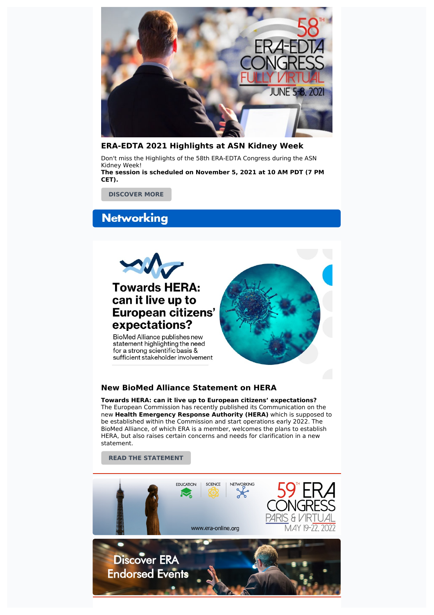

#### **ERA-EDTA 2021 Highlights at ASN Kidney Week**

Don't miss the Highlights of the 58th ERA-EDTA Congress during the ASN Kidney Week! **The session is scheduled on November 5, 2021 at 10 AM PDT (7 PM CET).**

**[DISCOVER](https://www.asn-online.org/education/kidneyweek/2021/program-session-details.aspx?sessId=383252) MORE**

# **Networking**



#### **New BioMed Alliance Statement on HERA**

**Towards HERA: can it live up to European citizens' expectations?** The European Commission has recently published its Communication on the new **Health Emergency Response Authority (HERA)** which is supposed to be established within the Commission and start operations early 2022. The BioMed Alliance, of which ERA is a member, welcomes the plans to establish HERA, but also raises certain concerns and needs for clarification in a new statement.

**READ THE [STATEMENT](https://www.biomedeurope.org/images/news/2021/BioMed_Alliance_Statement_HERA_10.2021_final.pdf)**